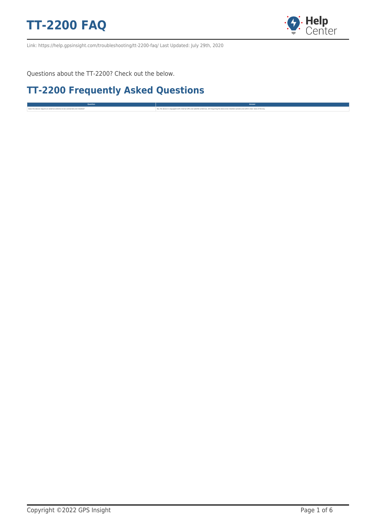

Link: https://help.gpsinsight.com/troubleshooting/tt-2200-faq/ Last Updated: July 29th, 2020

Questions about the TT-2200? Check out the below.

#### **TT-2200 Frequently Asked Questions**

**Question Answer** the device require and actual and material and material and material and material and material and material and material and material and material and material and material and material and material and material and materi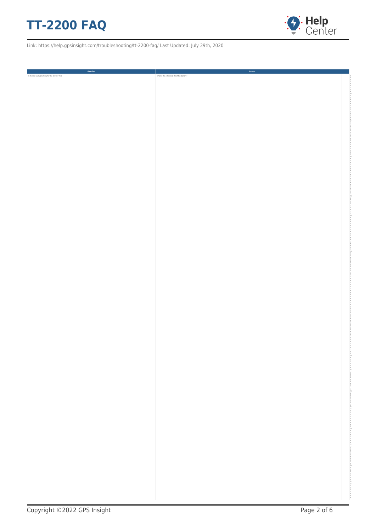



| Question                                        | Answer                                     |
|-------------------------------------------------|--------------------------------------------|
| Is there a backup battery for the device? If so | what is the estimated life of the battery? |
|                                                 |                                            |
|                                                 |                                            |
|                                                 |                                            |
|                                                 |                                            |
|                                                 |                                            |
|                                                 |                                            |
|                                                 |                                            |
|                                                 |                                            |
|                                                 |                                            |
|                                                 |                                            |
|                                                 |                                            |
|                                                 |                                            |
|                                                 |                                            |
|                                                 |                                            |
|                                                 |                                            |
|                                                 |                                            |
|                                                 |                                            |
|                                                 |                                            |
|                                                 |                                            |
|                                                 |                                            |
|                                                 |                                            |
|                                                 |                                            |
|                                                 |                                            |
|                                                 |                                            |
|                                                 |                                            |
|                                                 |                                            |
|                                                 |                                            |
|                                                 |                                            |
|                                                 |                                            |
|                                                 |                                            |
|                                                 |                                            |
|                                                 |                                            |
|                                                 |                                            |
|                                                 |                                            |
|                                                 |                                            |
|                                                 |                                            |
|                                                 |                                            |
|                                                 |                                            |
|                                                 |                                            |
|                                                 |                                            |
|                                                 |                                            |
|                                                 |                                            |
|                                                 |                                            |
|                                                 |                                            |
|                                                 |                                            |
|                                                 |                                            |
|                                                 |                                            |
|                                                 |                                            |
|                                                 |                                            |
|                                                 |                                            |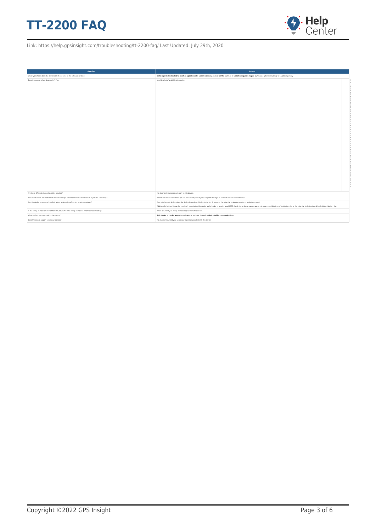

| Question                                                                                                   | Answer                                                                                                                                                                                                                                                                                                                                                                              |
|------------------------------------------------------------------------------------------------------------|-------------------------------------------------------------------------------------------------------------------------------------------------------------------------------------------------------------------------------------------------------------------------------------------------------------------------------------------------------------------------------------|
| What type of data does the device collect and send to the software solution?                               | Data reported is limited to location updates only; updates are dependent on the number of updates requested upon purchase: options include up to 6 updates per day                                                                                                                                                                                                                  |
| Does the device collect diagnostics? If so                                                                 | provide a list of available diagnostics.                                                                                                                                                                                                                                                                                                                                            |
| Are there different diagnostic cables required?                                                            | No, diagnostic cables do not apply to this device.                                                                                                                                                                                                                                                                                                                                  |
| How is the device installed? What installation steps are taken to conceal the device or prevent tampering? | The device should be installed per the installation guide by securing and affixing it to an asset in clear view of the sky.                                                                                                                                                                                                                                                         |
| Can the device be covertly installed, where a clear view of the sky is not guaranteed?                     | As a satellite-only device, when the device loses clear visibility to the sky, it presents the potential for device updates to be lost or missed.<br>Additionally, battery life can be negatively impacted as the device works harder to acquire a solid GPS signal. It's for these reasons we do not recommend this type of installation due to the potential for lost data and/or |
| Is the wiring harness similar to the GPSI-3900/GPSI-4000 wiring harnesses in terms of color-coding?        | There is currently no wiring harness applicable to this device.                                                                                                                                                                                                                                                                                                                     |
| What carriers are supported for the device?                                                                | This device is carrier agnostic and reports entirely through global satellite communications.                                                                                                                                                                                                                                                                                       |
| Does the device support accessory features?                                                                | No, there are currently no accessory features supported with this device.                                                                                                                                                                                                                                                                                                           |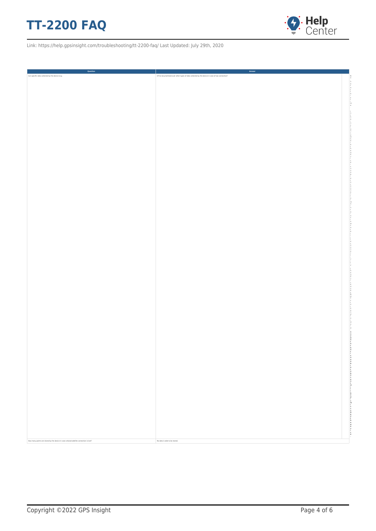

| Question                                                                                | Answer                                                                                           |
|-----------------------------------------------------------------------------------------|--------------------------------------------------------------------------------------------------|
| Can specific data collected by the device (e.g.                                         | DTCs) be prioritized over other types of data collected by the device in case of low connection? |
|                                                                                         |                                                                                                  |
|                                                                                         |                                                                                                  |
|                                                                                         |                                                                                                  |
|                                                                                         |                                                                                                  |
|                                                                                         |                                                                                                  |
|                                                                                         |                                                                                                  |
|                                                                                         |                                                                                                  |
|                                                                                         |                                                                                                  |
|                                                                                         |                                                                                                  |
|                                                                                         |                                                                                                  |
|                                                                                         |                                                                                                  |
|                                                                                         |                                                                                                  |
|                                                                                         |                                                                                                  |
|                                                                                         |                                                                                                  |
|                                                                                         |                                                                                                  |
|                                                                                         |                                                                                                  |
|                                                                                         |                                                                                                  |
|                                                                                         |                                                                                                  |
|                                                                                         |                                                                                                  |
|                                                                                         |                                                                                                  |
|                                                                                         |                                                                                                  |
|                                                                                         |                                                                                                  |
|                                                                                         |                                                                                                  |
|                                                                                         |                                                                                                  |
|                                                                                         |                                                                                                  |
|                                                                                         |                                                                                                  |
|                                                                                         |                                                                                                  |
|                                                                                         |                                                                                                  |
|                                                                                         |                                                                                                  |
|                                                                                         |                                                                                                  |
|                                                                                         |                                                                                                  |
|                                                                                         |                                                                                                  |
|                                                                                         |                                                                                                  |
|                                                                                         |                                                                                                  |
|                                                                                         |                                                                                                  |
|                                                                                         |                                                                                                  |
|                                                                                         |                                                                                                  |
|                                                                                         |                                                                                                  |
|                                                                                         |                                                                                                  |
|                                                                                         |                                                                                                  |
|                                                                                         |                                                                                                  |
|                                                                                         |                                                                                                  |
|                                                                                         |                                                                                                  |
|                                                                                         |                                                                                                  |
|                                                                                         |                                                                                                  |
|                                                                                         |                                                                                                  |
|                                                                                         |                                                                                                  |
|                                                                                         |                                                                                                  |
|                                                                                         |                                                                                                  |
|                                                                                         |                                                                                                  |
|                                                                                         |                                                                                                  |
|                                                                                         |                                                                                                  |
|                                                                                         |                                                                                                  |
|                                                                                         |                                                                                                  |
|                                                                                         |                                                                                                  |
|                                                                                         |                                                                                                  |
|                                                                                         |                                                                                                  |
|                                                                                         | 医皮质发育性 医定义性皮炎 医胃窦 化自动自动 医心包反应 医血管 医尿道性肾炎 医血管切除术                                                  |
|                                                                                         |                                                                                                  |
|                                                                                         |                                                                                                  |
|                                                                                         |                                                                                                  |
|                                                                                         |                                                                                                  |
|                                                                                         |                                                                                                  |
|                                                                                         |                                                                                                  |
|                                                                                         |                                                                                                  |
|                                                                                         |                                                                                                  |
|                                                                                         |                                                                                                  |
|                                                                                         |                                                                                                  |
|                                                                                         |                                                                                                  |
|                                                                                         |                                                                                                  |
| How many points are stored by the device in case cellular/satellite connection is lost? | No data is able to be stored.                                                                    |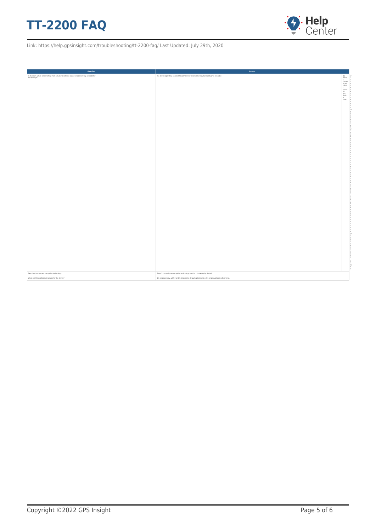

| Question                                                                                                       | Answer                                                                                              |                                                                                                                                                                                                                                                                                                                                                                                                                                                 |
|----------------------------------------------------------------------------------------------------------------|-----------------------------------------------------------------------------------------------------|-------------------------------------------------------------------------------------------------------------------------------------------------------------------------------------------------------------------------------------------------------------------------------------------------------------------------------------------------------------------------------------------------------------------------------------------------|
| Is there an option for switching from cellular to satellite-based on connectivity availability?<br>For example | If a device operating on satellite connectivity enters an area where cellular is available          | $\begin{tabular}{ c c } \hline \multicolumn{3}{ c }{\textbf{No},} & \multicolumn{3}{ c }{\textbf{No},} & \multicolumn{3}{ c }{\textbf{No},} & \multicolumn{3}{ c }{\textbf{No},} & \multicolumn{3}{ c }{\textbf{No},} & \multicolumn{3}{ c }{\textbf{No},} & \multicolumn{3}{ c }{\textbf{No},} & \multicolumn{3}{ c }{\textbf{No},} & \multicolumn{3}{ c }{\textbf{No},} & \multicolumn{3}{ c }{\textbf{No},} & \multicolumn{3}{ c }{\textbf{$ |
|                                                                                                                |                                                                                                     |                                                                                                                                                                                                                                                                                                                                                                                                                                                 |
|                                                                                                                |                                                                                                     |                                                                                                                                                                                                                                                                                                                                                                                                                                                 |
|                                                                                                                |                                                                                                     |                                                                                                                                                                                                                                                                                                                                                                                                                                                 |
|                                                                                                                |                                                                                                     |                                                                                                                                                                                                                                                                                                                                                                                                                                                 |
|                                                                                                                |                                                                                                     | $-2$                                                                                                                                                                                                                                                                                                                                                                                                                                            |
|                                                                                                                |                                                                                                     |                                                                                                                                                                                                                                                                                                                                                                                                                                                 |
|                                                                                                                |                                                                                                     |                                                                                                                                                                                                                                                                                                                                                                                                                                                 |
|                                                                                                                |                                                                                                     |                                                                                                                                                                                                                                                                                                                                                                                                                                                 |
|                                                                                                                |                                                                                                     |                                                                                                                                                                                                                                                                                                                                                                                                                                                 |
|                                                                                                                |                                                                                                     |                                                                                                                                                                                                                                                                                                                                                                                                                                                 |
|                                                                                                                |                                                                                                     |                                                                                                                                                                                                                                                                                                                                                                                                                                                 |
|                                                                                                                |                                                                                                     |                                                                                                                                                                                                                                                                                                                                                                                                                                                 |
|                                                                                                                |                                                                                                     |                                                                                                                                                                                                                                                                                                                                                                                                                                                 |
|                                                                                                                |                                                                                                     |                                                                                                                                                                                                                                                                                                                                                                                                                                                 |
|                                                                                                                |                                                                                                     |                                                                                                                                                                                                                                                                                                                                                                                                                                                 |
|                                                                                                                |                                                                                                     |                                                                                                                                                                                                                                                                                                                                                                                                                                                 |
|                                                                                                                |                                                                                                     |                                                                                                                                                                                                                                                                                                                                                                                                                                                 |
|                                                                                                                |                                                                                                     |                                                                                                                                                                                                                                                                                                                                                                                                                                                 |
|                                                                                                                |                                                                                                     |                                                                                                                                                                                                                                                                                                                                                                                                                                                 |
|                                                                                                                |                                                                                                     |                                                                                                                                                                                                                                                                                                                                                                                                                                                 |
|                                                                                                                |                                                                                                     |                                                                                                                                                                                                                                                                                                                                                                                                                                                 |
|                                                                                                                |                                                                                                     |                                                                                                                                                                                                                                                                                                                                                                                                                                                 |
|                                                                                                                |                                                                                                     |                                                                                                                                                                                                                                                                                                                                                                                                                                                 |
|                                                                                                                |                                                                                                     |                                                                                                                                                                                                                                                                                                                                                                                                                                                 |
|                                                                                                                |                                                                                                     |                                                                                                                                                                                                                                                                                                                                                                                                                                                 |
|                                                                                                                |                                                                                                     |                                                                                                                                                                                                                                                                                                                                                                                                                                                 |
|                                                                                                                |                                                                                                     |                                                                                                                                                                                                                                                                                                                                                                                                                                                 |
|                                                                                                                |                                                                                                     |                                                                                                                                                                                                                                                                                                                                                                                                                                                 |
|                                                                                                                |                                                                                                     |                                                                                                                                                                                                                                                                                                                                                                                                                                                 |
|                                                                                                                |                                                                                                     |                                                                                                                                                                                                                                                                                                                                                                                                                                                 |
|                                                                                                                |                                                                                                     |                                                                                                                                                                                                                                                                                                                                                                                                                                                 |
|                                                                                                                |                                                                                                     |                                                                                                                                                                                                                                                                                                                                                                                                                                                 |
|                                                                                                                |                                                                                                     |                                                                                                                                                                                                                                                                                                                                                                                                                                                 |
|                                                                                                                |                                                                                                     |                                                                                                                                                                                                                                                                                                                                                                                                                                                 |
|                                                                                                                |                                                                                                     |                                                                                                                                                                                                                                                                                                                                                                                                                                                 |
|                                                                                                                |                                                                                                     |                                                                                                                                                                                                                                                                                                                                                                                                                                                 |
|                                                                                                                |                                                                                                     |                                                                                                                                                                                                                                                                                                                                                                                                                                                 |
|                                                                                                                |                                                                                                     |                                                                                                                                                                                                                                                                                                                                                                                                                                                 |
|                                                                                                                |                                                                                                     |                                                                                                                                                                                                                                                                                                                                                                                                                                                 |
|                                                                                                                |                                                                                                     |                                                                                                                                                                                                                                                                                                                                                                                                                                                 |
|                                                                                                                |                                                                                                     |                                                                                                                                                                                                                                                                                                                                                                                                                                                 |
|                                                                                                                |                                                                                                     |                                                                                                                                                                                                                                                                                                                                                                                                                                                 |
| Describe the device's encryption technology.                                                                   | There's currently no encryption technology used for this device by default.                         |                                                                                                                                                                                                                                                                                                                                                                                                                                                 |
| What are the available ping rates for the device?                                                              | 1-6 pings per day, with 2 and 4 pings being default options and extra pings available with pricing. |                                                                                                                                                                                                                                                                                                                                                                                                                                                 |